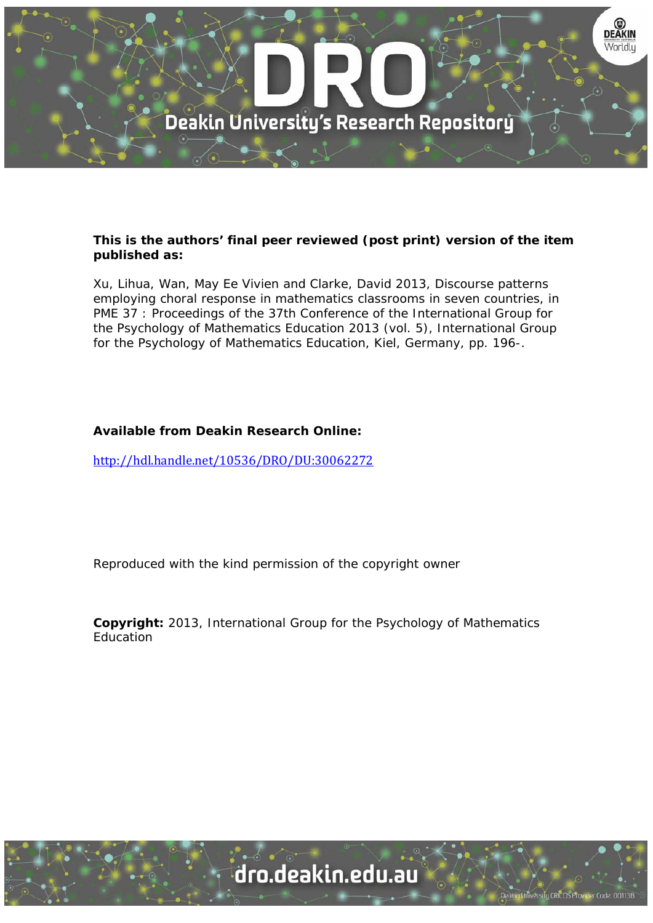

#### **This is the authors' final peer reviewed (post print) version of the item published as:**

Xu, Lihua, Wan, May Ee Vivien and Clarke, David 2013, Discourse patterns employing choral response in mathematics classrooms in seven countries, in PME 37 : Proceedings of the 37th Conference of the International Group for the Psychology of Mathematics Education 2013 (vol. 5), International Group for the Psychology of Mathematics Education, Kiel, Germany, pp. 196-.

#### **Available from Deakin Research Online:**

http://hdl.handle.net/10536/DRO/DU:30062272

Reproduced with the kind permission of the copyright owner

**Copyright:** 2013, International Group for the Psychology of Mathematics Education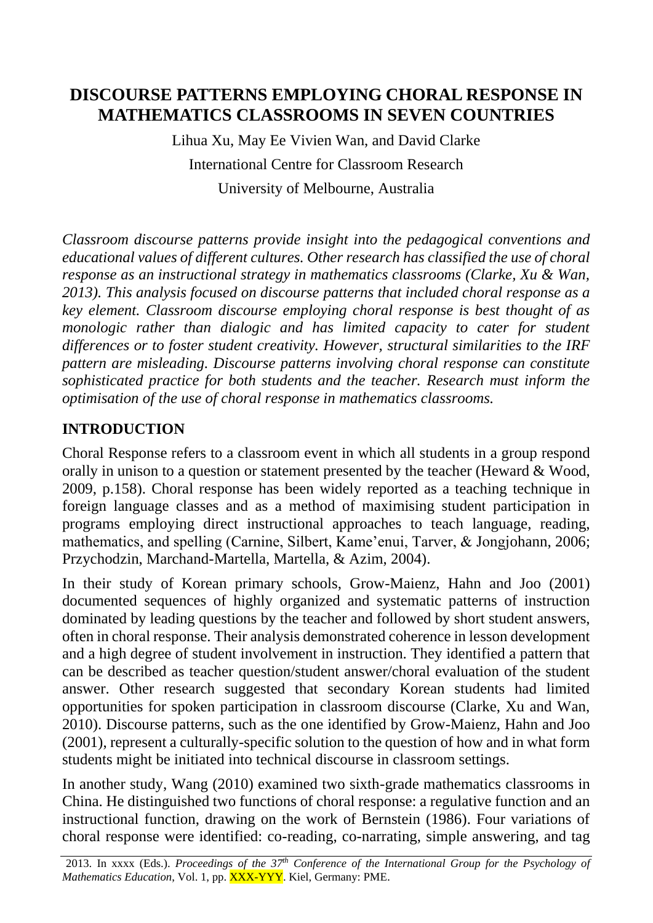# **DISCOURSE PATTERNS EMPLOYING CHORAL RESPONSE IN MATHEMATICS CLASSROOMS IN SEVEN COUNTRIES**

Lihua Xu, May Ee Vivien Wan, and David Clarke International Centre for Classroom Research University of Melbourne, Australia

*Classroom discourse patterns provide insight into the pedagogical conventions and educational values of different cultures. Other research has classified the use of choral response as an instructional strategy in mathematics classrooms (Clarke, Xu & Wan, 2013). This analysis focused on discourse patterns that included choral response as a key element. Classroom discourse employing choral response is best thought of as monologic rather than dialogic and has limited capacity to cater for student differences or to foster student creativity. However, structural similarities to the IRF pattern are misleading. Discourse patterns involving choral response can constitute sophisticated practice for both students and the teacher. Research must inform the optimisation of the use of choral response in mathematics classrooms.*

# **INTRODUCTION**

Choral Response refers to a classroom event in which all students in a group respond orally in unison to a question or statement presented by the teacher (Heward & Wood, 2009, p.158). Choral response has been widely reported as a teaching technique in foreign language classes and as a method of maximising student participation in programs employing direct instructional approaches to teach language, reading, mathematics, and spelling (Carnine, Silbert, Kame'enui, Tarver, & Jongjohann, 2006; Przychodzin, Marchand-Martella, Martella, & Azim, 2004).

In their study of Korean primary schools, Grow-Maienz, Hahn and Joo (2001) documented sequences of highly organized and systematic patterns of instruction dominated by leading questions by the teacher and followed by short student answers, often in choral response. Their analysis demonstrated coherence in lesson development and a high degree of student involvement in instruction. They identified a pattern that can be described as teacher question/student answer/choral evaluation of the student answer. Other research suggested that secondary Korean students had limited opportunities for spoken participation in classroom discourse (Clarke, Xu and Wan, 2010). Discourse patterns, such as the one identified by Grow-Maienz, Hahn and Joo (2001), represent a culturally-specific solution to the question of how and in what form students might be initiated into technical discourse in classroom settings.

In another study, Wang (2010) examined two sixth-grade mathematics classrooms in China. He distinguished two functions of choral response: a regulative function and an instructional function, drawing on the work of Bernstein (1986). Four variations of choral response were identified: co-reading, co-narrating, simple answering, and tag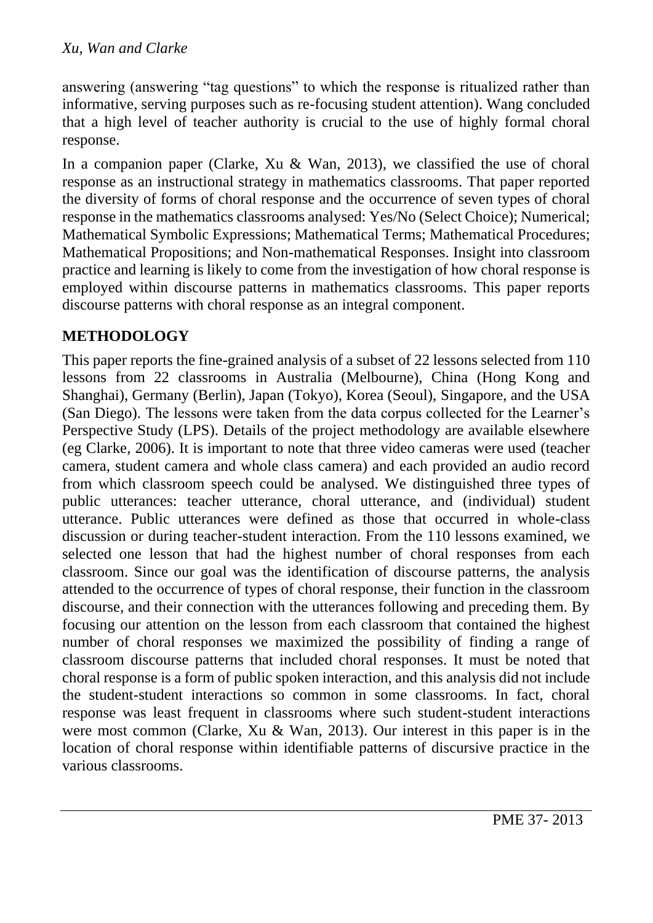answering (answering "tag questions" to which the response is ritualized rather than informative, serving purposes such as re-focusing student attention). Wang concluded that a high level of teacher authority is crucial to the use of highly formal choral response.

In a companion paper (Clarke, Xu & Wan, 2013), we classified the use of choral response as an instructional strategy in mathematics classrooms. That paper reported the diversity of forms of choral response and the occurrence of seven types of choral response in the mathematics classrooms analysed: Yes/No (Select Choice); Numerical; Mathematical Symbolic Expressions; Mathematical Terms; Mathematical Procedures; Mathematical Propositions; and Non-mathematical Responses. Insight into classroom practice and learning is likely to come from the investigation of how choral response is employed within discourse patterns in mathematics classrooms. This paper reports discourse patterns with choral response as an integral component.

# **METHODOLOGY**

This paper reports the fine-grained analysis of a subset of 22 lessons selected from 110 lessons from 22 classrooms in Australia (Melbourne), China (Hong Kong and Shanghai), Germany (Berlin), Japan (Tokyo), Korea (Seoul), Singapore, and the USA (San Diego). The lessons were taken from the data corpus collected for the Learner's Perspective Study (LPS). Details of the project methodology are available elsewhere (eg Clarke, 2006). It is important to note that three video cameras were used (teacher camera, student camera and whole class camera) and each provided an audio record from which classroom speech could be analysed. We distinguished three types of public utterances: teacher utterance, choral utterance, and (individual) student utterance. Public utterances were defined as those that occurred in whole-class discussion or during teacher-student interaction. From the 110 lessons examined, we selected one lesson that had the highest number of choral responses from each classroom. Since our goal was the identification of discourse patterns, the analysis attended to the occurrence of types of choral response, their function in the classroom discourse, and their connection with the utterances following and preceding them. By focusing our attention on the lesson from each classroom that contained the highest number of choral responses we maximized the possibility of finding a range of classroom discourse patterns that included choral responses. It must be noted that choral response is a form of public spoken interaction, and this analysis did not include the student-student interactions so common in some classrooms. In fact, choral response was least frequent in classrooms where such student-student interactions were most common (Clarke, Xu & Wan, 2013). Our interest in this paper is in the location of choral response within identifiable patterns of discursive practice in the various classrooms.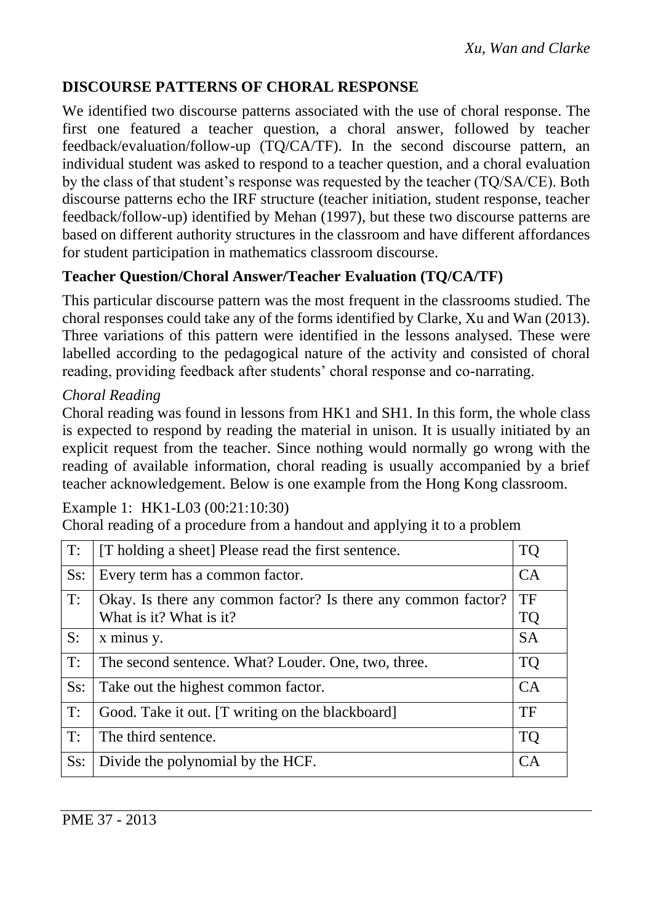# **DISCOURSE PATTERNS OF CHORAL RESPONSE**

We identified two discourse patterns associated with the use of choral response. The first one featured a teacher question, a choral answer, followed by teacher feedback/evaluation/follow-up (TQ/CA/TF). In the second discourse pattern, an individual student was asked to respond to a teacher question, and a choral evaluation by the class of that student's response was requested by the teacher (TQ/SA/CE). Both discourse patterns echo the IRF structure (teacher initiation, student response, teacher feedback/follow-up) identified by Mehan (1997), but these two discourse patterns are based on different authority structures in the classroom and have different affordances for student participation in mathematics classroom discourse.

# **Teacher Question/Choral Answer/Teacher Evaluation (TQ/CA/TF)**

This particular discourse pattern was the most frequent in the classrooms studied. The choral responses could take any of the forms identified by Clarke, Xu and Wan (2013). Three variations of this pattern were identified in the lessons analysed. These were labelled according to the pedagogical nature of the activity and consisted of choral reading, providing feedback after students' choral response and co-narrating.

## *Choral Reading*

Choral reading was found in lessons from HK1 and SH1. In this form, the whole class is expected to respond by reading the material in unison. It is usually initiated by an explicit request from the teacher. Since nothing would normally go wrong with the reading of available information, choral reading is usually accompanied by a brief teacher acknowledgement. Below is one example from the Hong Kong classroom.

#### Example 1: HK1-L03 (00:21:10:30)

Choral reading of a procedure from a handout and applying it to a problem

| T:     | [T holding a sheet] Please read the first sentence.           | <b>TQ</b> |
|--------|---------------------------------------------------------------|-----------|
| Ss:    | Every term has a common factor.                               | CA        |
| T:     | Okay. Is there any common factor? Is there any common factor? | TF        |
|        | What is it? What is it?                                       | <b>TQ</b> |
| S:     | x minus y.                                                    | <b>SA</b> |
| T:     | The second sentence. What? Louder. One, two, three.           | <b>TQ</b> |
| $Ss$ : | Take out the highest common factor.                           | CA        |
| T:     | Good. Take it out. [T writing on the blackboard]              | TF        |
| T:     | The third sentence.                                           | <b>TQ</b> |
| $Ss$ : | Divide the polynomial by the HCF.                             | CA        |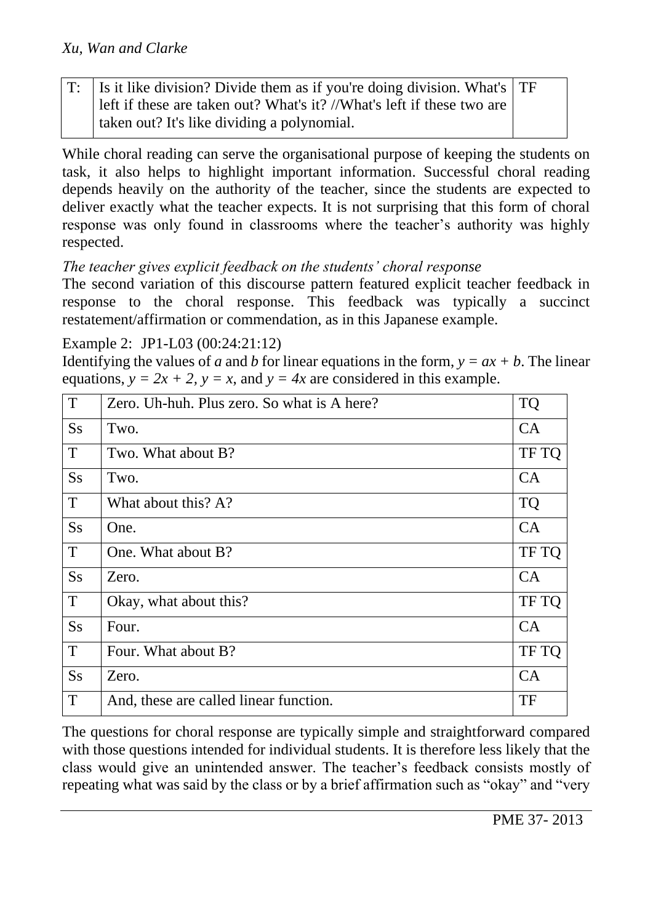| $T$ : Is it like division? Divide them as if you're doing division. What's $T$ F |  |
|----------------------------------------------------------------------------------|--|
| left if these are taken out? What's it? //What's left if these two are           |  |
| taken out? It's like dividing a polynomial.                                      |  |

While choral reading can serve the organisational purpose of keeping the students on task, it also helps to highlight important information. Successful choral reading depends heavily on the authority of the teacher, since the students are expected to deliver exactly what the teacher expects. It is not surprising that this form of choral response was only found in classrooms where the teacher's authority was highly respected.

# *The teacher gives explicit feedback on the students' choral response*

The second variation of this discourse pattern featured explicit teacher feedback in response to the choral response. This feedback was typically a succinct restatement/affirmation or commendation, as in this Japanese example.

### Example 2: JP1-L03 (00:24:21:12)

Identifying the values of *a* and *b* for linear equations in the form,  $y = ax + b$ . The linear equations,  $y = 2x + 2$ ,  $y = x$ , and  $y = 4x$  are considered in this example.

| T              | Zero. Uh-huh. Plus zero. So what is A here? | <b>TQ</b> |
|----------------|---------------------------------------------|-----------|
| <b>Ss</b>      | Two.                                        | CA        |
| T              | Two. What about B?                          | TF TQ     |
| <b>Ss</b>      | Two.                                        | CA        |
| T              | What about this? A?                         | <b>TQ</b> |
| S <sub>S</sub> | One.                                        | CA        |
| T              | One. What about B?                          | TF TQ     |
| S <sub>S</sub> | Zero.                                       | CA        |
| T              | Okay, what about this?                      | TF TQ     |
| <b>Ss</b>      | Four.                                       | CA        |
| T              | Four. What about B?                         | TF TQ     |
| S <sub>S</sub> | Zero.                                       | CA        |
| T              | And, these are called linear function.      | TF        |

The questions for choral response are typically simple and straightforward compared with those questions intended for individual students. It is therefore less likely that the class would give an unintended answer. The teacher's feedback consists mostly of repeating what was said by the class or by a brief affirmation such as "okay" and "very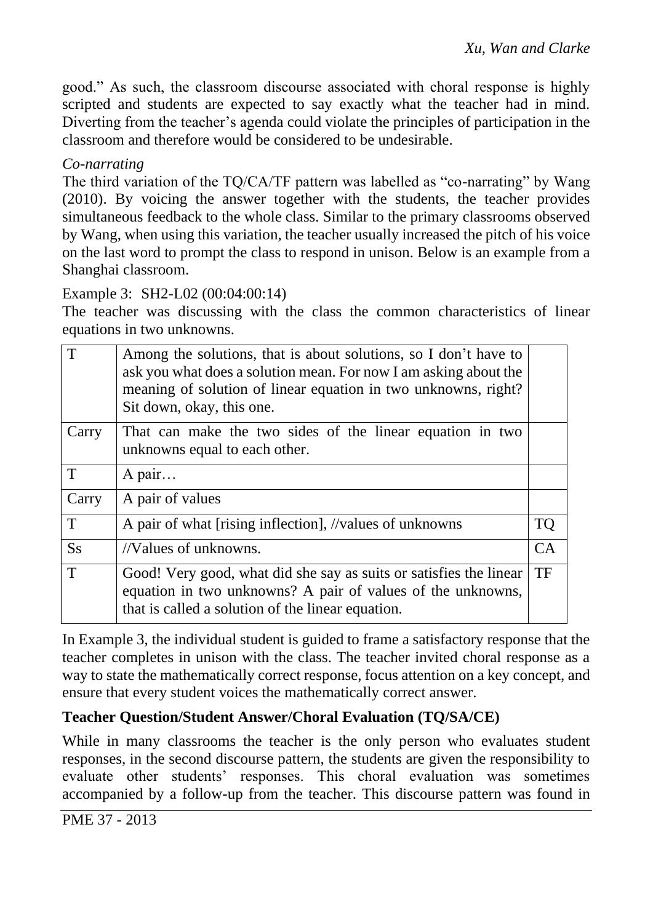good." As such, the classroom discourse associated with choral response is highly scripted and students are expected to say exactly what the teacher had in mind. Diverting from the teacher's agenda could violate the principles of participation in the classroom and therefore would be considered to be undesirable.

### *Co-narrating*

The third variation of the TQ/CA/TF pattern was labelled as "co-narrating" by Wang (2010). By voicing the answer together with the students, the teacher provides simultaneous feedback to the whole class. Similar to the primary classrooms observed by Wang, when using this variation, the teacher usually increased the pitch of his voice on the last word to prompt the class to respond in unison. Below is an example from a Shanghai classroom.

#### Example 3: SH2-L02 (00:04:00:14)

The teacher was discussing with the class the common characteristics of linear equations in two unknowns.

| $\mathsf{T}$   | Among the solutions, that is about solutions, so I don't have to<br>ask you what does a solution mean. For now I am asking about the<br>meaning of solution of linear equation in two unknowns, right?<br>Sit down, okay, this one. |    |
|----------------|-------------------------------------------------------------------------------------------------------------------------------------------------------------------------------------------------------------------------------------|----|
| Carry          | That can make the two sides of the linear equation in two<br>unknowns equal to each other.                                                                                                                                          |    |
| $\mathbf T$    | A pair                                                                                                                                                                                                                              |    |
| Carry          | A pair of values                                                                                                                                                                                                                    |    |
| T              | A pair of what [rising inflection], //values of unknowns                                                                                                                                                                            | TQ |
| S <sub>S</sub> | //Values of unknowns.                                                                                                                                                                                                               | CA |
| $\mathbf T$    | Good! Very good, what did she say as suits or satisfies the linear<br>equation in two unknowns? A pair of values of the unknowns,<br>that is called a solution of the linear equation.                                              | TF |

In Example 3, the individual student is guided to frame a satisfactory response that the teacher completes in unison with the class. The teacher invited choral response as a way to state the mathematically correct response, focus attention on a key concept, and ensure that every student voices the mathematically correct answer.

# **Teacher Question/Student Answer/Choral Evaluation (TQ/SA/CE)**

While in many classrooms the teacher is the only person who evaluates student responses, in the second discourse pattern, the students are given the responsibility to evaluate other students' responses. This choral evaluation was sometimes accompanied by a follow-up from the teacher. This discourse pattern was found in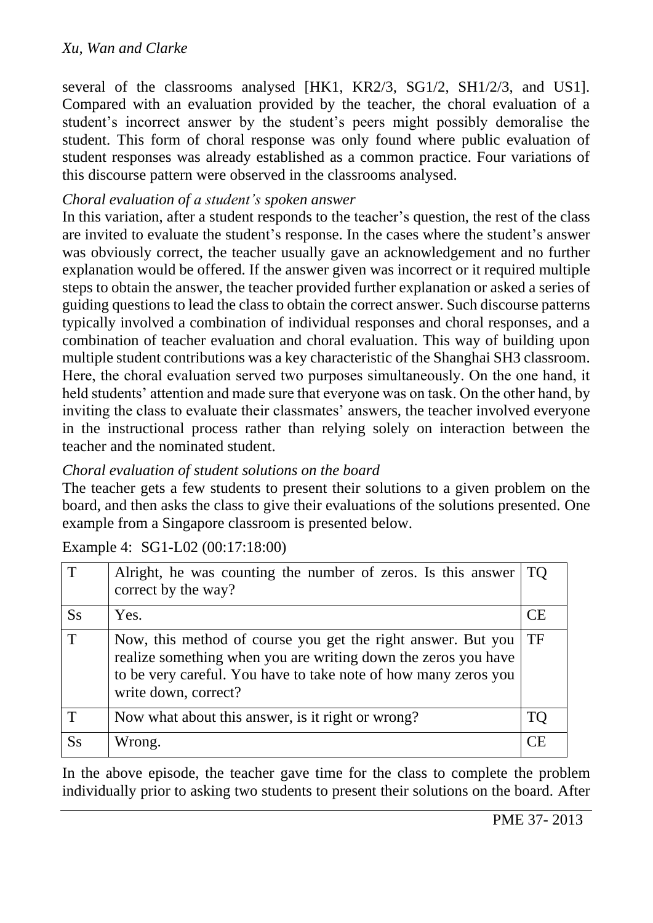#### *Xu, Wan and Clarke*

several of the classrooms analysed [HK1, KR2/3, SG1/2, SH1/2/3, and US1]. Compared with an evaluation provided by the teacher, the choral evaluation of a student's incorrect answer by the student's peers might possibly demoralise the student. This form of choral response was only found where public evaluation of student responses was already established as a common practice. Four variations of this discourse pattern were observed in the classrooms analysed.

#### *Choral evaluation of a student's spoken answer*

In this variation, after a student responds to the teacher's question, the rest of the class are invited to evaluate the student's response. In the cases where the student's answer was obviously correct, the teacher usually gave an acknowledgement and no further explanation would be offered. If the answer given was incorrect or it required multiple steps to obtain the answer, the teacher provided further explanation or asked a series of guiding questions to lead the class to obtain the correct answer. Such discourse patterns typically involved a combination of individual responses and choral responses, and a combination of teacher evaluation and choral evaluation. This way of building upon multiple student contributions was a key characteristic of the Shanghai SH3 classroom. Here, the choral evaluation served two purposes simultaneously. On the one hand, it held students' attention and made sure that everyone was on task. On the other hand, by inviting the class to evaluate their classmates' answers, the teacher involved everyone in the instructional process rather than relying solely on interaction between the teacher and the nominated student.

### *Choral evaluation of student solutions on the board*

The teacher gets a few students to present their solutions to a given problem on the board, and then asks the class to give their evaluations of the solutions presented. One example from a Singapore classroom is presented below.

| T       | Alright, he was counting the number of zeros. Is this answer<br>correct by the way?                                                                                                                                       | <b>TO</b> |
|---------|---------------------------------------------------------------------------------------------------------------------------------------------------------------------------------------------------------------------------|-----------|
| $S_{S}$ | Yes.                                                                                                                                                                                                                      | CE        |
| T       | Now, this method of course you get the right answer. But you<br>realize something when you are writing down the zeros you have<br>to be very careful. You have to take note of how many zeros you<br>write down, correct? | TF        |
| Т       | Now what about this answer, is it right or wrong?                                                                                                                                                                         | TС        |
| $S_{S}$ | Wrong.                                                                                                                                                                                                                    | CF        |

Example 4: SG1-L02 (00:17:18:00)

In the above episode, the teacher gave time for the class to complete the problem individually prior to asking two students to present their solutions on the board. After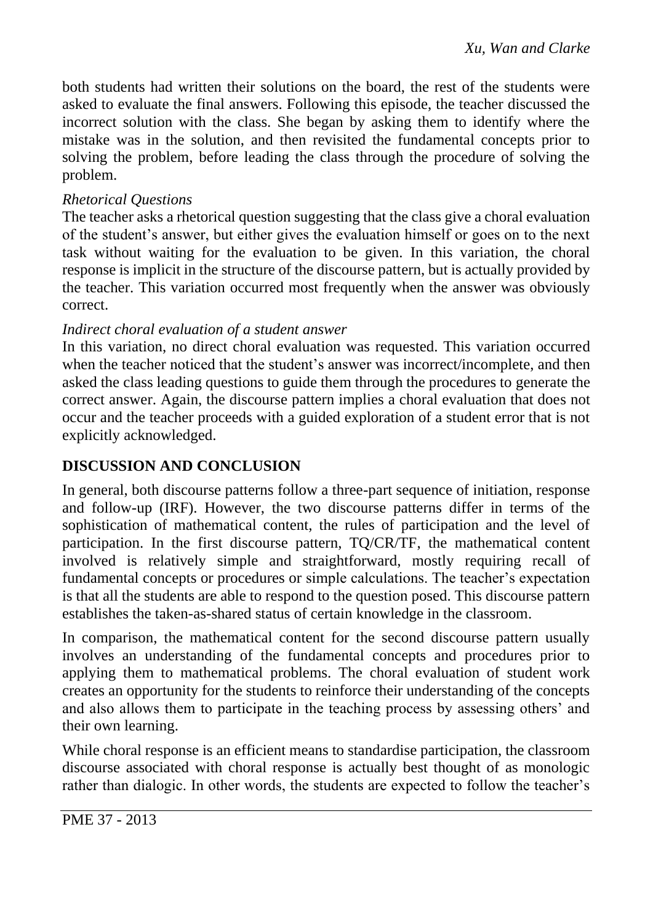both students had written their solutions on the board, the rest of the students were asked to evaluate the final answers. Following this episode, the teacher discussed the incorrect solution with the class. She began by asking them to identify where the mistake was in the solution, and then revisited the fundamental concepts prior to solving the problem, before leading the class through the procedure of solving the problem.

## *Rhetorical Questions*

The teacher asks a rhetorical question suggesting that the class give a choral evaluation of the student's answer, but either gives the evaluation himself or goes on to the next task without waiting for the evaluation to be given. In this variation, the choral response is implicit in the structure of the discourse pattern, but is actually provided by the teacher. This variation occurred most frequently when the answer was obviously correct.

## *Indirect choral evaluation of a student answer*

In this variation, no direct choral evaluation was requested. This variation occurred when the teacher noticed that the student's answer was incorrect/incomplete, and then asked the class leading questions to guide them through the procedures to generate the correct answer. Again, the discourse pattern implies a choral evaluation that does not occur and the teacher proceeds with a guided exploration of a student error that is not explicitly acknowledged.

# **DISCUSSION AND CONCLUSION**

In general, both discourse patterns follow a three-part sequence of initiation, response and follow-up (IRF). However, the two discourse patterns differ in terms of the sophistication of mathematical content, the rules of participation and the level of participation. In the first discourse pattern, TQ/CR/TF, the mathematical content involved is relatively simple and straightforward, mostly requiring recall of fundamental concepts or procedures or simple calculations. The teacher's expectation is that all the students are able to respond to the question posed. This discourse pattern establishes the taken-as-shared status of certain knowledge in the classroom.

In comparison, the mathematical content for the second discourse pattern usually involves an understanding of the fundamental concepts and procedures prior to applying them to mathematical problems. The choral evaluation of student work creates an opportunity for the students to reinforce their understanding of the concepts and also allows them to participate in the teaching process by assessing others' and their own learning.

While choral response is an efficient means to standardise participation, the classroom discourse associated with choral response is actually best thought of as monologic rather than dialogic. In other words, the students are expected to follow the teacher's